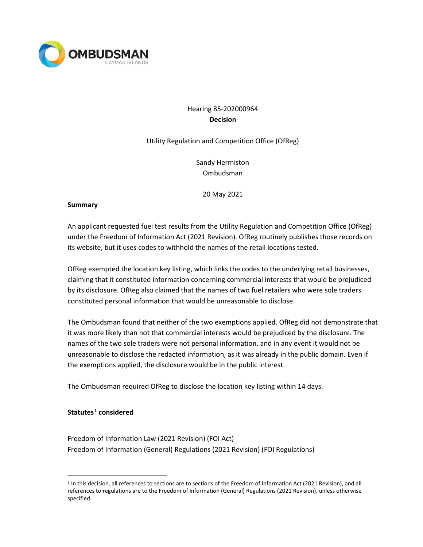

# Hearing 85-202000964 **Decision**

Utility Regulation and Competition Office (OfReg)

Sandy Hermiston Ombudsman

20 May 2021

#### **Summary**

An applicant requested fuel test results from the Utility Regulation and Competition Office (OfReg) under the Freedom of Information Act (2021 Revision). OfReg routinely publishes those records on its website, but it uses codes to withhold the names of the retail locations tested.

OfReg exempted the location key listing, which links the codes to the underlying retail businesses, claiming that it constituted information concerning commercial interests that would be prejudiced by its disclosure. OfReg also claimed that the names of two fuel retailers who were sole traders constituted personal information that would be unreasonable to disclose.

The Ombudsman found that neither of the two exemptions applied. OfReg did not demonstrate that it was more likely than not that commercial interests would be prejudiced by the disclosure. The names of the two sole traders were not personal information, and in any event it would not be unreasonable to disclose the redacted information, as it was already in the public domain. Even if the exemptions applied, the disclosure would be in the public interest.

The Ombudsman required OfReg to disclose the location key listing within 14 days.

#### **Statutes [1](#page-0-0) considered**

Freedom of Information Law (2021 Revision) (FOI Act) Freedom of Information (General) Regulations (2021 Revision) (FOI Regulations)

<span id="page-0-0"></span><sup>1</sup> In this decision, all references to sections are to sections of the Freedom of Information Act (2021 Revision), and all references to regulations are to the Freedom of Information (General) Regulations (2021 Revision), unless otherwise specified.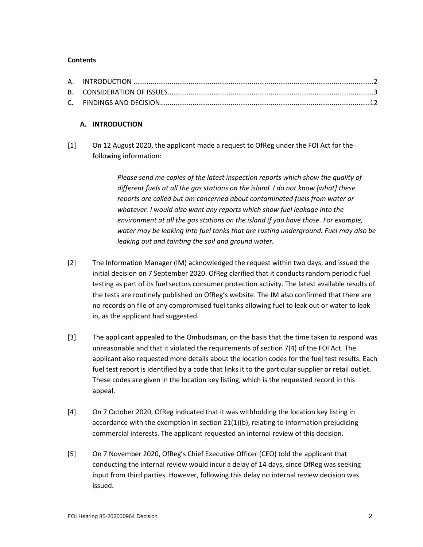## **Contents**

# **A. INTRODUCTION**

[1] On 12 August 2020, the applicant made a request to OfReg under the FOI Act for the following information:

> *Please send me copies of the latest inspection reports which show the quality of different fuels at all the gas stations on the island. I do not know [what] these reports are called but am concerned about contaminated fuels from water or whatever. I would also want any reports which show fuel leakage into the environment at all the gas stations on the island if you have those. For example, water may be leaking into fuel tanks that are rusting underground. Fuel may also be leaking out and tainting the soil and ground water.*

- [2] The Information Manager (IM) acknowledged the request within two days, and issued the initial decision on 7 September 2020. OfReg clarified that it conducts random periodic fuel testing as part of its fuel sectors consumer protection activity. The latest available results of the tests are routinely published on OfReg's website. The IM also confirmed that there are no records on file of any compromised fuel tanks allowing fuel to leak out or water to leak in, as the applicant had suggested.
- [3] The applicant appealed to the Ombudsman, on the basis that the time taken to respond was unreasonable and that it violated the requirements of section 7(4) of the FOI Act. The applicant also requested more details about the location codes for the fuel test results. Each fuel test report is identified by a code that links it to the particular supplier or retail outlet. These codes are given in the location key listing, which is the requested record in this appeal.
- [4] On 7 October 2020, OfReg indicated that it was withholding the location key listing in accordance with the exemption in section  $21(1)(b)$ , relating to information prejudicing commercial interests. The applicant requested an internal review of this decision.
- [5] On 7 November 2020, OfReg's Chief Executive Officer (CEO) told the applicant that conducting the internal review would incur a delay of 14 days, since OfReg was seeking input from third parties. However, following this delay no internal review decision was issued.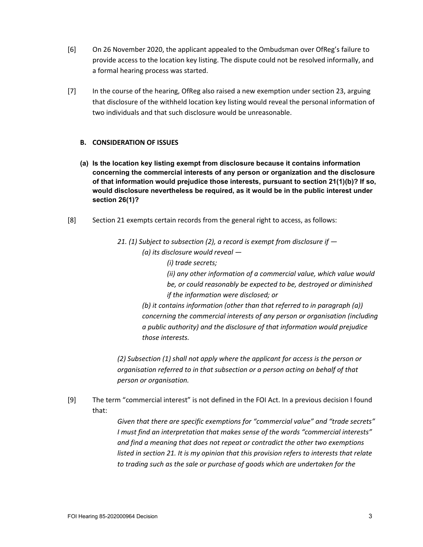- [6] On 26 November 2020, the applicant appealed to the Ombudsman over OfReg's failure to provide access to the location key listing. The dispute could not be resolved informally, and a formal hearing process was started.
- [7] In the course of the hearing, OfReg also raised a new exemption under section 23, arguing that disclosure of the withheld location key listing would reveal the personal information of two individuals and that such disclosure would be unreasonable.

# **B. CONSIDERATION OF ISSUES**

- **(a) Is the location key listing exempt from disclosure because it contains information concerning the commercial interests of any person or organization and the disclosure of that information would prejudice those interests, pursuant to section 21(1)(b)? If so, would disclosure nevertheless be required, as it would be in the public interest under section 26(1)?**
- [8] Section 21 exempts certain records from the general right to access, as follows:

*21. (1) Subject to subsection (2), a record is exempt from disclosure if — (a) its disclosure would reveal — (i) trade secrets; (ii) any other information of a commercial value, which value would be, or could reasonably be expected to be, destroyed or diminished if the information were disclosed; or (b) it contains information (other than that referred to in paragraph (a)) concerning the commercial interests of any person or organisation (including a public authority) and the disclosure of that information would prejudice those interests.*

*(2) Subsection (1) shall not apply where the applicant for access is the person or organisation referred to in that subsection or a person acting on behalf of that person or organisation.*

[9] The term "commercial interest" is not defined in the FOI Act. In a previous decision I found that:

> *Given that there are specific exemptions for "commercial value" and "trade secrets" I must find an interpretation that makes sense of the words "commercial interests" and find a meaning that does not repeat or contradict the other two exemptions listed in section 21. It is my opinion that this provision refers to interests that relate to trading such as the sale or purchase of goods which are undertaken for the*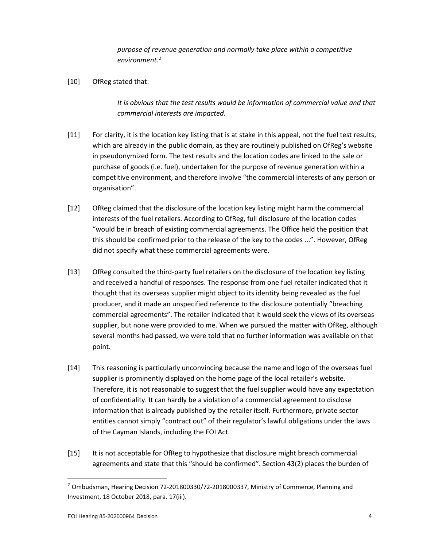*purpose of revenue generation and normally take place within a competitive environment.[2](#page-3-0)*

[10] OfReg stated that:

*It is obvious that the test results would be information of commercial value and that commercial interests are impacted.*

- [11] For clarity, it is the location key listing that is at stake in this appeal, not the fuel test results, which are already in the public domain, as they are routinely published on OfReg's website in pseudonymized form. The test results and the location codes are linked to the sale or purchase of goods (i.e. fuel), undertaken for the purpose of revenue generation within a competitive environment, and therefore involve "the commercial interests of any person or organisation".
- [12] OfReg claimed that the disclosure of the location key listing might harm the commercial interests of the fuel retailers. According to OfReg, full disclosure of the location codes "would be in breach of existing commercial agreements. The Office held the position that this should be confirmed prior to the release of the key to the codes ...". However, OfReg did not specify what these commercial agreements were.
- [13] OfReg consulted the third-party fuel retailers on the disclosure of the location key listing and received a handful of responses. The response from one fuel retailer indicated that it thought that its overseas supplier might object to its identity being revealed as the fuel producer, and it made an unspecified reference to the disclosure potentially "breaching commercial agreements". The retailer indicated that it would seek the views of its overseas supplier, but none were provided to me. When we pursued the matter with OfReg, although several months had passed, we were told that no further information was available on that point.
- [14] This reasoning is particularly unconvincing because the name and logo of the overseas fuel supplier is prominently displayed on the home page of the local retailer's website. Therefore, it is not reasonable to suggest that the fuel supplier would have any expectation of confidentiality. It can hardly be a violation of a commercial agreement to disclose information that is already published by the retailer itself. Furthermore, private sector entities cannot simply "contract out" of their regulator's lawful obligations under the laws of the Cayman Islands, including the FOI Act.
- [15] It is not acceptable for OfReg to hypothesize that disclosure might breach commercial agreements and state that this "should be confirmed". Section 43(2) places the burden of

<span id="page-3-0"></span><sup>&</sup>lt;sup>2</sup> Ombudsman, Hearing Decision 72-201800330/72-2018000337, Ministry of Commerce, Planning and Investment, 18 October 2018, para. 17(iii).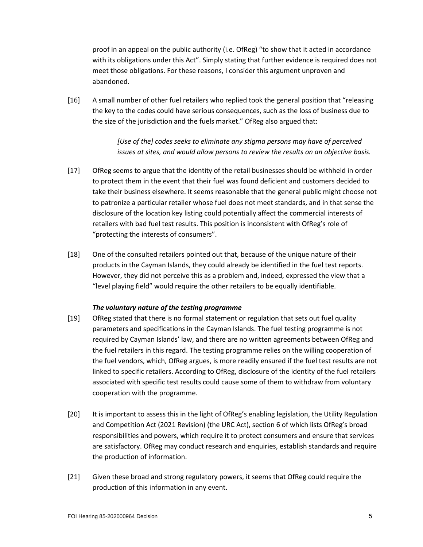proof in an appeal on the public authority (i.e. OfReg) "to show that it acted in accordance with its obligations under this Act". Simply stating that further evidence is required does not meet those obligations. For these reasons, I consider this argument unproven and abandoned.

[16] A small number of other fuel retailers who replied took the general position that "releasing the key to the codes could have serious consequences, such as the loss of business due to the size of the jurisdiction and the fuels market." OfReg also argued that:

> *[Use of the] codes seeks to eliminate any stigma persons may have of perceived issues at sites, and would allow persons to review the results on an objective basis.*

- [17] OfReg seems to argue that the identity of the retail businesses should be withheld in order to protect them in the event that their fuel was found deficient and customers decided to take their business elsewhere. It seems reasonable that the general public might choose not to patronize a particular retailer whose fuel does not meet standards, and in that sense the disclosure of the location key listing could potentially affect the commercial interests of retailers with bad fuel test results. This position is inconsistent with OfReg's role of "protecting the interests of consumers".
- [18] One of the consulted retailers pointed out that, because of the unique nature of their products in the Cayman Islands, they could already be identified in the fuel test reports. However, they did not perceive this as a problem and, indeed, expressed the view that a "level playing field" would require the other retailers to be equally identifiable.

#### *The voluntary nature of the testing programme*

- [19] OfReg stated that there is no formal statement or regulation that sets out fuel quality parameters and specifications in the Cayman Islands. The fuel testing programme is not required by Cayman Islands' law, and there are no written agreements between OfReg and the fuel retailers in this regard. The testing programme relies on the willing cooperation of the fuel vendors, which, OfReg argues, is more readily ensured if the fuel test results are not linked to specific retailers. According to OfReg, disclosure of the identity of the fuel retailers associated with specific test results could cause some of them to withdraw from voluntary cooperation with the programme.
- [20] It is important to assess this in the light of OfReg's enabling legislation, the Utility Regulation and Competition Act (2021 Revision) (the URC Act), section 6 of which lists OfReg's broad responsibilities and powers, which require it to protect consumers and ensure that services are satisfactory. OfReg may conduct research and enquiries, establish standards and require the production of information.
- [21] Given these broad and strong regulatory powers, it seems that OfReg could require the production of this information in any event.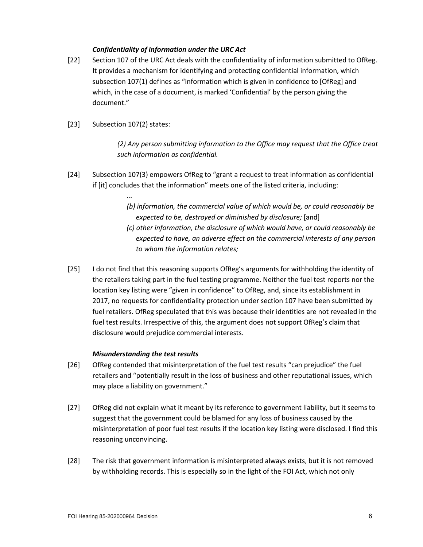## *Confidentiality of information under the URC Act*

- [22] Section 107 of the URC Act deals with the confidentiality of information submitted to OfReg. It provides a mechanism for identifying and protecting confidential information, which subsection 107(1) defines as "information which is given in confidence to [OfReg] and which, in the case of a document, is marked 'Confidential' by the person giving the document."
- [23] Subsection 107(2) states:

*...*

*(2) Any person submitting information to the Office may request that the Office treat such information as confidential.*

- [24] Subsection 107(3) empowers OfReg to "grant a request to treat information as confidential if [it] concludes that the information" meets one of the listed criteria, including:
	- *(b) information, the commercial value of which would be, or could reasonably be expected to be, destroyed or diminished by disclosure;* [and]
	- *(c) other information, the disclosure of which would have, or could reasonably be expected to have, an adverse effect on the commercial interests of any person to whom the information relates;*
- [25] I do not find that this reasoning supports OfReg's arguments for withholding the identity of the retailers taking part in the fuel testing programme. Neither the fuel test reports nor the location key listing were "given in confidence" to OfReg, and, since its establishment in 2017, no requests for confidentiality protection under section 107 have been submitted by fuel retailers. OfReg speculated that this was because their identities are not revealed in the fuel test results. Irrespective of this, the argument does not support OfReg's claim that disclosure would prejudice commercial interests.

## *Misunderstanding the test results*

- [26] OfReg contended that misinterpretation of the fuel test results "can prejudice" the fuel retailers and "potentially result in the loss of business and other reputational issues, which may place a liability on government."
- [27] OfReg did not explain what it meant by its reference to government liability, but it seems to suggest that the government could be blamed for any loss of business caused by the misinterpretation of poor fuel test results if the location key listing were disclosed. I find this reasoning unconvincing.
- [28] The risk that government information is misinterpreted always exists, but it is not removed by withholding records. This is especially so in the light of the FOI Act, which not only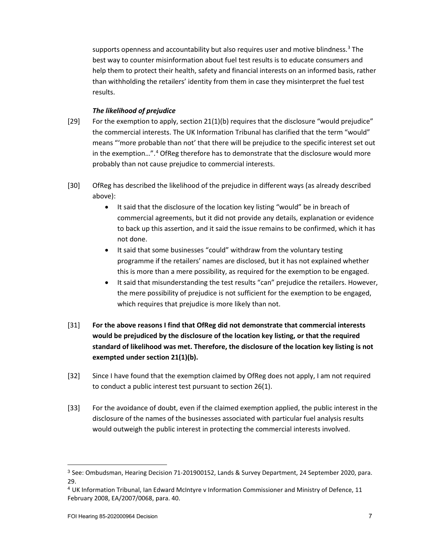supports openness and accountability but also requires user and motive blindness.<sup>[3](#page-6-0)</sup> The best way to counter misinformation about fuel test results is to educate consumers and help them to protect their health, safety and financial interests on an informed basis, rather than withholding the retailers' identity from them in case they misinterpret the fuel test results.

## *The likelihood of prejudice*

- [29] For the exemption to apply, section 21(1)(b) requires that the disclosure "would prejudice" the commercial interests. The UK Information Tribunal has clarified that the term "would" means "'more probable than not' that there will be prejudice to the specific interest set out in the exemption…". [4](#page-6-1) OfReg therefore has to demonstrate that the disclosure would more probably than not cause prejudice to commercial interests.
- [30] OfReg has described the likelihood of the prejudice in different ways (as already described above):
	- It said that the disclosure of the location key listing "would" be in breach of commercial agreements, but it did not provide any details, explanation or evidence to back up this assertion, and it said the issue remains to be confirmed, which it has not done.
	- It said that some businesses "could" withdraw from the voluntary testing programme if the retailers' names are disclosed, but it has not explained whether this is more than a mere possibility, as required for the exemption to be engaged.
	- It said that misunderstanding the test results "can" prejudice the retailers. However, the mere possibility of prejudice is not sufficient for the exemption to be engaged, which requires that prejudice is more likely than not.
- [31] **For the above reasons I find that OfReg did not demonstrate that commercial interests would be prejudiced by the disclosure of the location key listing, or that the required standard of likelihood was met. Therefore, the disclosure of the location key listing is not exempted under section 21(1)(b).**
- [32] Since I have found that the exemption claimed by OfReg does not apply, I am not required to conduct a public interest test pursuant to section 26(1).
- [33] For the avoidance of doubt, even if the claimed exemption applied, the public interest in the disclosure of the names of the businesses associated with particular fuel analysis results would outweigh the public interest in protecting the commercial interests involved.

<span id="page-6-0"></span><sup>3</sup> See: Ombudsman, Hearing Decision 71-201900152, Lands & Survey Department, 24 September 2020, para. 29.

<span id="page-6-1"></span><sup>4</sup> UK Information Tribunal, Ian Edward McIntyre v Information Commissioner and Ministry of Defence, 11 February 2008, EA/2007/0068, para. 40.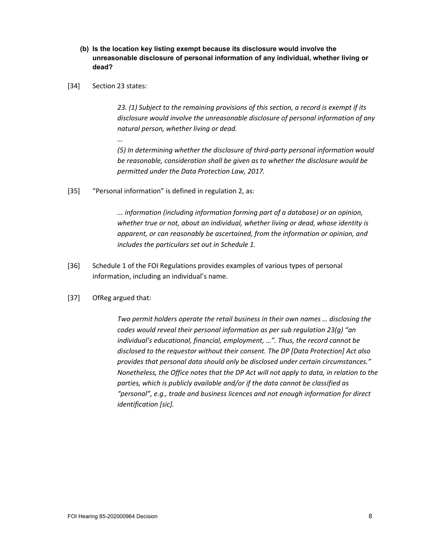- **(b) Is the location key listing exempt because its disclosure would involve the unreasonable disclosure of personal information of any individual, whether living or dead?**
- [34] Section 23 states:

*...*

*23. (1) Subject to the remaining provisions of this section, a record is exempt if its disclosure would involve the unreasonable disclosure of personal information of any natural person, whether living or dead.*

*(5) In determining whether the disclosure of third-party personal information would be reasonable, consideration shall be given as to whether the disclosure would be permitted under the Data Protection Law, 2017.*

[35] "Personal information" is defined in regulation 2, as:

*... information (including information forming part of a database) or an opinion, whether true or not, about an individual, whether living or dead, whose identity is apparent, or can reasonably be ascertained, from the information or opinion, and includes the particulars set out in Schedule 1.*

- [36] Schedule 1 of the FOI Regulations provides examples of various types of personal information, including an individual's name.
- [37] OfReg argued that:

*Two permit holders operate the retail business in their own names … disclosing the codes would reveal their personal information as per sub regulation 23(g) "an individual's educational, financial, employment, …". Thus, the record cannot be disclosed to the requestor without their consent. The DP [Data Protection] Act also provides that personal data should only be disclosed under certain circumstances." Nonetheless, the Office notes that the DP Act will not apply to data, in relation to the parties, which is publicly available and/or if the data cannot be classified as "personal", e.g., trade and business licences and not enough information for direct identification [sic].*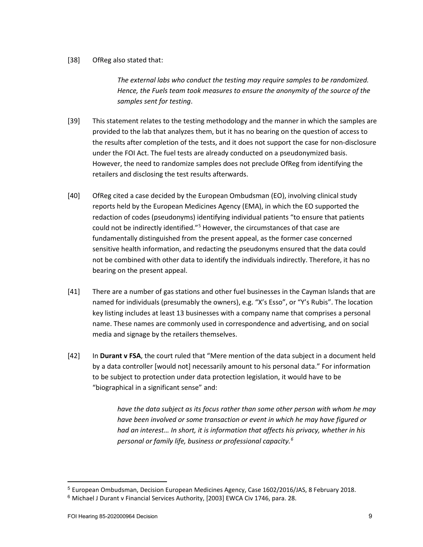#### [38] OfReg also stated that:

*The external labs who conduct the testing may require samples to be randomized. Hence, the Fuels team took measures to ensure the anonymity of the source of the samples sent for testing*.

- [39] This statement relates to the testing methodology and the manner in which the samples are provided to the lab that analyzes them, but it has no bearing on the question of access to the results after completion of the tests, and it does not support the case for non-disclosure under the FOI Act. The fuel tests are already conducted on a pseudonymized basis. However, the need to randomize samples does not preclude OfReg from identifying the retailers and disclosing the test results afterwards.
- [40] OfReg cited a case decided by the European Ombudsman (EO), involving clinical study reports held by the European Medicines Agency (EMA), in which the EO supported the redaction of codes (pseudonyms) identifying individual patients "to ensure that patients could not be indirectly identified."<sup>[5](#page-8-0)</sup> However, the circumstances of that case are fundamentally distinguished from the present appeal, as the former case concerned sensitive health information, and redacting the pseudonyms ensured that the data could not be combined with other data to identify the individuals indirectly. Therefore, it has no bearing on the present appeal.
- [41] There are a number of gas stations and other fuel businesses in the Cayman Islands that are named for individuals (presumably the owners), e.g. "X's Esso", or "Y's Rubis". The location key listing includes at least 13 businesses with a company name that comprises a personal name. These names are commonly used in correspondence and advertising, and on social media and signage by the retailers themselves.
- [42] In **Durant v FSA**, the court ruled that "Mere mention of the data subject in a document held by a data controller [would not] necessarily amount to his personal data." For information to be subject to protection under data protection legislation, it would have to be "biographical in a significant sense" and:

*have the data subject as its focus rather than some other person with whom he may have been involved or some transaction or event in which he may have figured or had an interest… In short, it is information that affects his privacy, whether in his personal or family life, business or professional capacity.[6](#page-8-1)*

<span id="page-8-0"></span><sup>5</sup> European Ombudsman, Decision European Medicines Agency, Case 1602/2016/JAS, 8 February 2018.

<span id="page-8-1"></span><sup>6</sup> Michael J Durant v Financial Services Authority, [2003] EWCA Civ 1746, para. 28.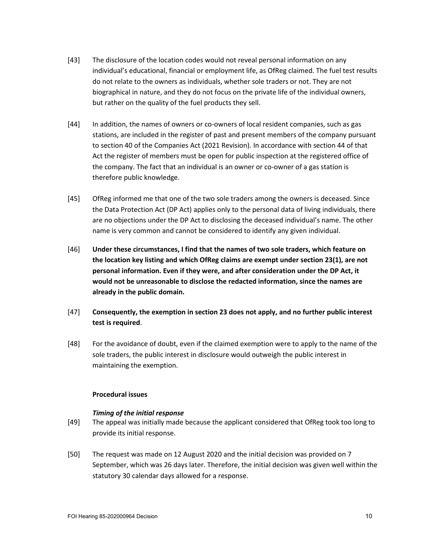- [43] The disclosure of the location codes would not reveal personal information on any individual's educational, financial or employment life, as OfReg claimed. The fuel test results do not relate to the owners as individuals, whether sole traders or not. They are not biographical in nature, and they do not focus on the private life of the individual owners, but rather on the quality of the fuel products they sell.
- [44] In addition, the names of owners or co-owners of local resident companies, such as gas stations, are included in the register of past and present members of the company pursuant to section 40 of the Companies Act (2021 Revision). In accordance with section 44 of that Act the register of members must be open for public inspection at the registered office of the company. The fact that an individual is an owner or co-owner of a gas station is therefore public knowledge.
- [45] OfReg informed me that one of the two sole traders among the owners is deceased. Since the Data Protection Act (DP Act) applies only to the personal data of living individuals, there are no objections under the DP Act to disclosing the deceased individual's name. The other name is very common and cannot be considered to identify any given individual.
- [46] **Under these circumstances, I find that the names of two sole traders, which feature on the location key listing and which OfReg claims are exempt under section 23(1), are not personal information. Even if they were, and after consideration under the DP Act, it would not be unreasonable to disclose the redacted information, since the names are already in the public domain.**
- [47] **Consequently, the exemption in section 23 does not apply, and no further public interest test is required**.
- [48] For the avoidance of doubt, even if the claimed exemption were to apply to the name of the sole traders, the public interest in disclosure would outweigh the public interest in maintaining the exemption.

## **Procedural issues**

## *Timing of the initial response*

- [49] The appeal was initially made because the applicant considered that OfReg took too long to provide its initial response.
- [50] The request was made on 12 August 2020 and the initial decision was provided on 7 September, which was 26 days later. Therefore, the initial decision was given well within the statutory 30 calendar days allowed for a response.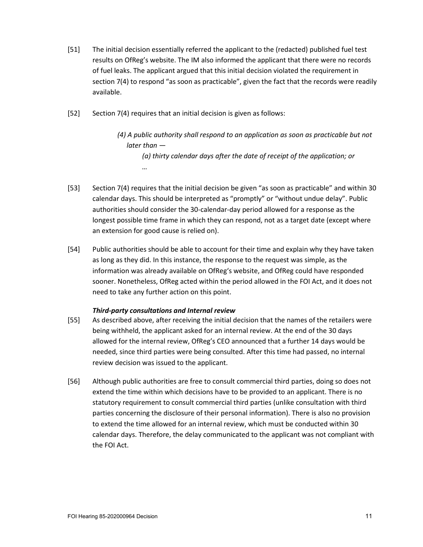- [51] The initial decision essentially referred the applicant to the (redacted) published fuel test results on OfReg's website. The IM also informed the applicant that there were no records of fuel leaks. The applicant argued that this initial decision violated the requirement in section 7(4) to respond "as soon as practicable", given the fact that the records were readily available.
- [52] Section 7(4) requires that an initial decision is given as follows:

*(4) A public authority shall respond to an application as soon as practicable but not later than — (a) thirty calendar days after the date of receipt of the application; or …*

- [53] Section 7(4) requires that the initial decision be given "as soon as practicable" and within 30 calendar days. This should be interpreted as "promptly" or "without undue delay". Public authorities should consider the 30-calendar-day period allowed for a response as the longest possible time frame in which they can respond, not as a target date (except where an extension for good cause is relied on).
- [54] Public authorities should be able to account for their time and explain why they have taken as long as they did. In this instance, the response to the request was simple, as the information was already available on OfReg's website, and OfReg could have responded sooner. Nonetheless, OfReg acted within the period allowed in the FOI Act, and it does not need to take any further action on this point.

## *Third-party consultations and Internal review*

- [55] As described above, after receiving the initial decision that the names of the retailers were being withheld, the applicant asked for an internal review. At the end of the 30 days allowed for the internal review, OfReg's CEO announced that a further 14 days would be needed, since third parties were being consulted. After this time had passed, no internal review decision was issued to the applicant.
- [56] Although public authorities are free to consult commercial third parties, doing so does not extend the time within which decisions have to be provided to an applicant. There is no statutory requirement to consult commercial third parties (unlike consultation with third parties concerning the disclosure of their personal information). There is also no provision to extend the time allowed for an internal review, which must be conducted within 30 calendar days. Therefore, the delay communicated to the applicant was not compliant with the FOI Act.